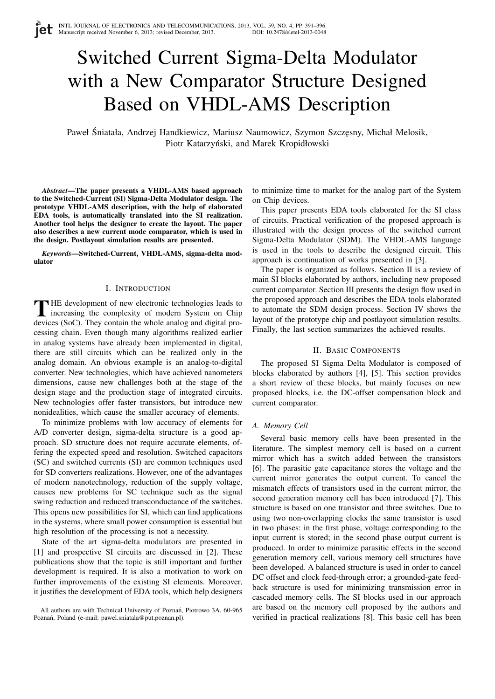# Switched Current Sigma-Delta Modulator with a New Comparator Structure Designed Based on VHDL-AMS Description

Paweł Śniatała, Andrzej Handkiewicz, Mariusz Naumowicz, Szymon Szczęsny, Michał Melosik, Piotr Katarzyński, and Marek Kropidłowski

*Abstract*—The paper presents a VHDL-AMS based approach to the Switched-Current (SI) Sigma-Delta Modulator design. The prototype VHDL-AMS description, with the help of elaborated EDA tools, is automatically translated into the SI realization. Another tool helps the designer to create the layout. The paper also describes a new current mode comparator, which is used in the design. Postlayout simulation results are presented.

*Keywords*—Switched-Current, VHDL-AMS, sigma-delta modulator

## I. INTRODUCTION

THE development of new electronic technologies leads to increasing the complexity of modern System on Chip devices (SoC). They contain the whole analog and digital pro-HE development of new electronic technologies leads to increasing the complexity of modern System on Chip cessing chain. Even though many algorithms realized earlier in analog systems have already been implemented in digital, there are still circuits which can be realized only in the analog domain. An obvious example is an analog-to-digital converter. New technologies, which have achieved nanometers dimensions, cause new challenges both at the stage of the design stage and the production stage of integrated circuits. New technologies offer faster transistors, but introduce new nonidealities, which cause the smaller accuracy of elements.

To minimize problems with low accuracy of elements for A/D converter design, sigma-delta structure is a good approach. SD structure does not require accurate elements, offering the expected speed and resolution. Switched capacitors (SC) and switched currents (SI) are common techniques used for SD converters realizations. However, one of the advantages of modern nanotechnology, reduction of the supply voltage, causes new problems for SC technique such as the signal swing reduction and reduced transconductance of the switches. This opens new possibilities for SI, which can find applications in the systems, where small power consumption is essential but high resolution of the processing is not a necessity.

State of the art sigma-delta modulators are presented in [1] and prospective SI circuits are discussed in [2]. These publications show that the topic is still important and further development is required. It is also a motivation to work on further improvements of the existing SI elements. Moreover, it justifies the development of EDA tools, which help designers to minimize time to market for the analog part of the System on Chip devices.

This paper presents EDA tools elaborated for the SI class of circuits. Practical verification of the proposed approach is illustrated with the design process of the switched current Sigma-Delta Modulator (SDM). The VHDL-AMS language is used in the tools to describe the designed circuit. This approach is continuation of works presented in [3].

The paper is organized as follows. Section II is a review of main SI blocks elaborated by authors, including new proposed current comparator. Section III presents the design flow used in the proposed approach and describes the EDA tools elaborated to automate the SDM design process. Section IV shows the layout of the prototype chip and postlayout simulation results. Finally, the last section summarizes the achieved results.

## II. BASIC COMPONENTS

The proposed SI Sigma Delta Modulator is composed of blocks elaborated by authors [4], [5]. This section provides a short review of these blocks, but mainly focuses on new proposed blocks, i.e. the DC-offset compensation block and current comparator.

#### *A. Memory Cell*

Several basic memory cells have been presented in the literature. The simplest memory cell is based on a current mirror which has a switch added between the transistors [6]. The parasitic gate capacitance stores the voltage and the current mirror generates the output current. To cancel the mismatch effects of transistors used in the current mirror, the second generation memory cell has been introduced [7]. This structure is based on one transistor and three switches. Due to using two non-overlapping clocks the same transistor is used in two phases: in the first phase, voltage corresponding to the input current is stored; in the second phase output current is produced. In order to minimize parasitic effects in the second generation memory cell, various memory cell structures have been developed. A balanced structure is used in order to cancel DC offset and clock feed-through error; a grounded-gate feedback structure is used for minimizing transmission error in cascaded memory cells. The SI blocks used in our approach are based on the memory cell proposed by the authors and verified in practical realizations [8]. This basic cell has been

All authors are with Technical University of Poznań, Piotrowo 3A, 60-965 Poznań, Poland (e-mail: pawel.sniatala@put.poznan.pl).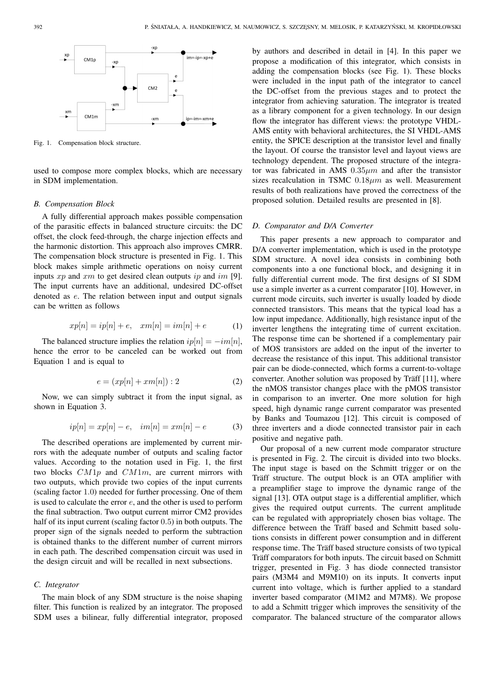

Fig. 1. Compensation block structure.

used to compose more complex blocks, which are necessary in SDM implementation.

## *B. Compensation Block*

A fully differential approach makes possible compensation of the parasitic effects in balanced structure circuits: the DC offset, the clock feed-through, the charge injection effects and the harmonic distortion. This approach also improves CMRR. The compensation block structure is presented in Fig. 1. This block makes simple arithmetic operations on noisy current inputs  $xp$  and  $xm$  to get desired clean outputs  $ip$  and  $im$  [9]. The input currents have an additional, undesired DC-offset denoted as e. The relation between input and output signals can be written as follows

$$
xp[n] = ip[n] + e, \quad xm[n] = im[n] + e \tag{1}
$$

The balanced structure implies the relation  $ip[n] = -im[n],$ hence the error to be canceled can be worked out from Equation 1 and is equal to

$$
e = (xp[n] + xm[n]) : 2
$$
\n<sup>(2)</sup>

Now, we can simply subtract it from the input signal, as shown in Equation 3.

$$
ip[n] = xp[n] - e, \quad im[n] = xm[n] - e \tag{3}
$$

The described operations are implemented by current mirrors with the adequate number of outputs and scaling factor values. According to the notation used in Fig. 1, the first two blocks  $CM1p$  and  $CM1m$ , are current mirrors with two outputs, which provide two copies of the input currents (scaling factor 1.0) needed for further processing. One of them is used to calculate the error  $e$ , and the other is used to perform the final subtraction. Two output current mirror CM2 provides half of its input current (scaling factor 0.5) in both outputs. The proper sign of the signals needed to perform the subtraction is obtained thanks to the different number of current mirrors in each path. The described compensation circuit was used in the design circuit and will be recalled in next subsections.

# *C. Integrator*

The main block of any SDM structure is the noise shaping filter. This function is realized by an integrator. The proposed SDM uses a bilinear, fully differential integrator, proposed

by authors and described in detail in [4]. In this paper we propose a modification of this integrator, which consists in adding the compensation blocks (see Fig. 1). These blocks were included in the input path of the integrator to cancel the DC-offset from the previous stages and to protect the integrator from achieving saturation. The integrator is treated as a library component for a given technology. In our design flow the integrator has different views: the prototype VHDL-AMS entity with behavioral architectures, the SI VHDL-AMS entity, the SPICE description at the transistor level and finally the layout. Of course the transistor level and layout views are technology dependent. The proposed structure of the integrator was fabricated in AMS  $0.35 \mu m$  and after the transistor sizes recalculation in TSMC  $0.18 \mu m$  as well. Measurement results of both realizations have proved the correctness of the proposed solution. Detailed results are presented in [8].

#### *D. Comparator and D/A Converter*

This paper presents a new approach to comparator and D/A converter implementation, which is used in the prototype SDM structure. A novel idea consists in combining both components into a one functional block, and designing it in fully differential current mode. The first designs of SI SDM use a simple inverter as a current comparator [10]. However, in current mode circuits, such inverter is usually loaded by diode connected transistors. This means that the typical load has a low input impedance. Additionally, high resistance input of the inverter lengthens the integrating time of current excitation. The response time can be shortened if a complementary pair of MOS transistors are added on the input of the inverter to decrease the resistance of this input. This additional transistor pair can be diode-connected, which forms a current-to-voltage converter. Another solution was proposed by Träff [11], where the nMOS transistor changes place with the pMOS transistor in comparison to an inverter. One more solution for high speed, high dynamic range current comparator was presented by Banks and Toumazou [12]. This circuit is composed of three inverters and a diode connected transistor pair in each positive and negative path.

Our proposal of a new current mode comparator structure is presented in Fig. 2. The circuit is divided into two blocks. The input stage is based on the Schmitt trigger or on the Träff structure. The output block is an OTA amplifier with a preamplifier stage to improve the dynamic range of the signal [13]. OTA output stage is a differential amplifier, which gives the required output currents. The current amplitude can be regulated with appropriately chosen bias voltage. The difference between the Träff based and Schmitt based solutions consists in different power consumption and in different response time. The Träff based structure consists of two typical Träff comparators for both inputs. The circuit based on Schmitt trigger, presented in Fig. 3 has diode connected transistor pairs (M3M4 and M9M10) on its inputs. It converts input current into voltage, which is further applied to a standard inverter based comparator (M1M2 and M7M8). We propose to add a Schmitt trigger which improves the sensitivity of the comparator. The balanced structure of the comparator allows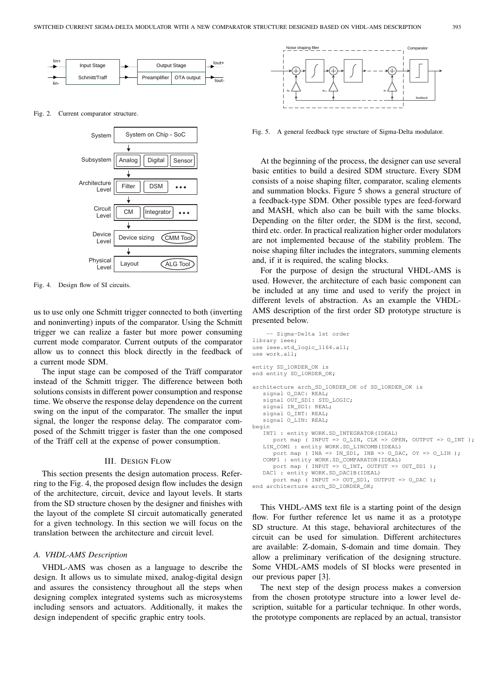

Fig. 2. Current comparator structure.



Fig. 4. Design flow of SI circuits.

us to use only one Schmitt trigger connected to both (inverting and noninverting) inputs of the comparator. Using the Schmitt trigger we can realize a faster but more power consuming current mode comparator. Current outputs of the comparator allow us to connect this block directly in the feedback of a current mode SDM.

The input stage can be composed of the Träff comparator instead of the Schmitt trigger. The difference between both solutions consists in different power consumption and response time. We observe the response delay dependence on the current swing on the input of the comparator. The smaller the input signal, the longer the response delay. The comparator composed of the Schmitt trigger is faster than the one composed of the Träff cell at the expense of power consumption.

# III. DESIGN FLOW

This section presents the design automation process. Referring to the Fig. 4, the proposed design flow includes the design of the architecture, circuit, device and layout levels. It starts from the SD structure chosen by the designer and finishes with the layout of the complete SI circuit automatically generated for a given technology. In this section we will focus on the translation between the architecture and circuit level.

# *A. VHDL-AMS Description*

VHDL-AMS was chosen as a language to describe the design. It allows us to simulate mixed, analog-digital design and assures the consistency throughout all the steps when designing complex integrated systems such as microsystems including sensors and actuators. Additionally, it makes the design independent of specific graphic entry tools.



Fig. 5. A general feedback type structure of Sigma-Delta modulator.

At the beginning of the process, the designer can use several basic entities to build a desired SDM structure. Every SDM consists of a noise shaping filter, comparator, scaling elements and summation blocks. Figure 5 shows a general structure of a feedback-type SDM. Other possible types are feed-forward and MASH, which also can be built with the same blocks. Depending on the filter order, the SDM is the first, second, third etc. order. In practical realization higher order modulators are not implemented because of the stability problem. The noise shaping filter includes the integrators, summing elements and, if it is required, the scaling blocks.

For the purpose of design the structural VHDL-AMS is used. However, the architecture of each basic component can be included at any time and used to verify the project in different levels of abstraction. As an example the VHDL-AMS description of the first order SD prototype structure is presented below.

```
-- Sigma-Delta 1st order
library ieee;
use ieee.std_logic_1164.all;
use work.all;
entity SD_1ORDER_OK is
end entity SD_1ORDER_OK;
architecture arch_SD_1ORDER_OK of SD_1ORDER_OK is
   signal O_DAC: REAL;
   signal OUT_SD1: STD_LOGIC;
   signal IN_SD1: REAL;
   signal O_INT: REAL;
   signal O_LIN: REAL;
begin
   INT1 : entity WORK.SD_INTEGRATOR(IDEAL)
      port map ( INPUT => O_LIN, CLK => OPEN, OUTPUT => O_INT );
   LIN_COM1 : entity WORK.SD_LINCOMB(IDEAL)
      port map ( INA => IN_SD1, INB => O_DAC, OY => O_LIN );
   COMP1 : entity WORK.SD_COMPARATOR(IDEAL)
      port map ( INPUT => 0_INT, OUTPUT => OUT_SD1);
   DAC1 : entity WORK.SD_DAC1B(IDEAL)
      port map \overline{(\text{INVT} > \text{OUT\_SD1, \text{OUTPUT} > \text{O\_DAC})}}end architecture arch_SD_1ORDER_OK;
```
This VHDL-AMS text file is a starting point of the design flow. For further reference let us name it as a prototype SD structure. At this stage, behavioral architectures of the circuit can be used for simulation. Different architectures are available: Z-domain, S-domain and time domain. They allow a preliminary verification of the designing structure. Some VHDL-AMS models of SI blocks were presented in our previous paper [3].

The next step of the design process makes a conversion from the chosen prototype structure into a lower level description, suitable for a particular technique. In other words, the prototype components are replaced by an actual, transistor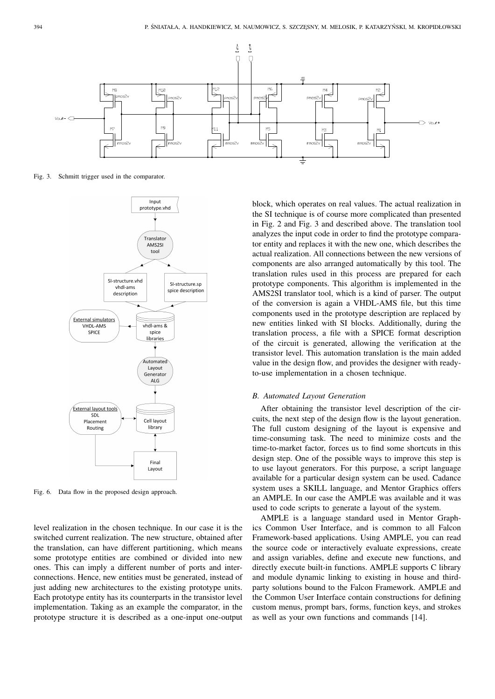

Fig. 3. Schmitt trigger used in the comparator.



Fig. 6. Data flow in the proposed design approach.

level realization in the chosen technique. In our case it is the switched current realization. The new structure, obtained after the translation, can have different partitioning, which means some prototype entities are combined or divided into new ones. This can imply a different number of ports and interconnections. Hence, new entities must be generated, instead of just adding new architectures to the existing prototype units. Each prototype entity has its counterparts in the transistor level implementation. Taking as an example the comparator, in the prototype structure it is described as a one-input one-output

block, which operates on real values. The actual realization in the SI technique is of course more complicated than presented in Fig. 2 and Fig. 3 and described above. The translation tool analyzes the input code in order to find the prototype comparator entity and replaces it with the new one, which describes the actual realization. All connections between the new versions of components are also arranged automatically by this tool. The translation rules used in this process are prepared for each prototype components. This algorithm is implemented in the AMS2SI translator tool, which is a kind of parser. The output of the conversion is again a VHDL-AMS file, but this time components used in the prototype description are replaced by new entities linked with SI blocks. Additionally, during the translation process, a file with a SPICE format description of the circuit is generated, allowing the verification at the transistor level. This automation translation is the main added value in the design flow, and provides the designer with readyto-use implementation in a chosen technique.

## *B. Automated Layout Generation*

After obtaining the transistor level description of the circuits, the next step of the design flow is the layout generation. The full custom designing of the layout is expensive and time-consuming task. The need to minimize costs and the time-to-market factor, forces us to find some shortcuts in this design step. One of the possible ways to improve this step is to use layout generators. For this purpose, a script language available for a particular design system can be used. Cadance system uses a SKILL language, and Mentor Graphics offers an AMPLE. In our case the AMPLE was available and it was used to code scripts to generate a layout of the system.

AMPLE is a language standard used in Mentor Graphics Common User Interface, and is common to all Falcon Framework-based applications. Using AMPLE, you can read the source code or interactively evaluate expressions, create and assign variables, define and execute new functions, and directly execute built-in functions. AMPLE supports C library and module dynamic linking to existing in house and thirdparty solutions bound to the Falcon Framework. AMPLE and the Common User Interface contain constructions for defining custom menus, prompt bars, forms, function keys, and strokes as well as your own functions and commands [14].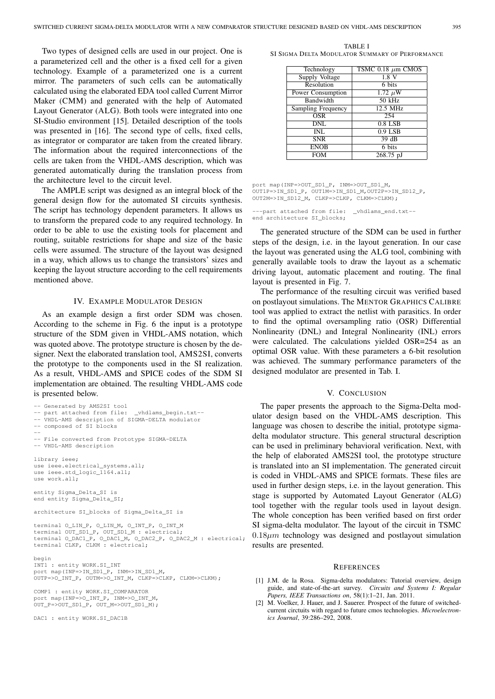Two types of designed cells are used in our project. One is a parameterized cell and the other is a fixed cell for a given technology. Example of a parameterized one is a current mirror. The parameters of such cells can be automatically calculated using the elaborated EDA tool called Current Mirror Maker (CMM) and generated with the help of Automated Layout Generator (ALG). Both tools were integrated into one SI-Studio environment [15]. Detailed description of the tools was presented in [16]. The second type of cells, fixed cells, as integrator or comparator are taken from the created library. The information about the required interconnections of the cells are taken from the VHDL-AMS description, which was generated automatically during the translation process from the architecture level to the circuit level.

The AMPLE script was designed as an integral block of the general design flow for the automated SI circuits synthesis. The script has technology dependent parameters. It allows us to transform the prepared code to any required technology. In order to be able to use the existing tools for placement and routing, suitable restrictions for shape and size of the basic cells were assumed. The structure of the layout was designed in a way, which allows us to change the transistors' sizes and keeping the layout structure according to the cell requirements mentioned above.

#### IV. EXAMPLE MODULATOR DESIGN

As an example design a first order SDM was chosen. According to the scheme in Fig. 6 the input is a prototype structure of the SDM given in VHDL-AMS notation, which was quoted above. The prototype structure is chosen by the designer. Next the elaborated translation tool, AMS2SI, converts the prototype to the components used in the SI realization. As a result, VHDL-AMS and SPICE codes of the SDM SI implementation are obtained. The resulting VHDL-AMS code is presented below.

```
-- Generated by AMS2SI tool
-- part attached from file: _vhdlams_begin.txt-
-- VHDL-AMS description of SIGMA-DELTA modulator
-- composed of SI blocks
--
-- File converted from Prototype SIGMA-DELTA
-- VHDL-AMS description
library ieee;
use ieee.electrical systems.all;
use ieee.std_logic_1164.all;
use work.all;
entity Sigma_Delta_SI is
end entity Sigma_Delta_SI;
architecture SI_blocks of Sigma_Delta_SI is
terminal O_LIN_P, O_LIN_M, O_INT_P, O_INT_M
terminal OUT_SD1_P, OUT_SD1_M : electrical;
terminal O_DAC1_P, O_DAC1_M, O_DAC2_P, O_DAC2_M : electrical;
terminal CLKP, CLKM : electrical;
begin
INT1 : entity WORK.SI_INT
port map(INP=>IN_SD1_P, INM=>IN_SD1_M,
OUTP=>O_INT_P, OUTM=>O_INT_M, CLKP=>CLKP, CLKM=>CLKM);
COMP1 : entity WORK.SI_COMPARATOR
port map(INP=>O_INT_P, INM=>O_INT_M,
```
OUT\_P=>OUT\_SD1\_P, OUT\_M=>OUT\_SD1\_M);

DAC1: entity WORK.SI\_DAC1B

TABLE I SI SIGMA DELTA MODULATOR SUMMARY OF PERFORMANCE

| Technology                | TSMC $0.18 \mu m$ CMOS |
|---------------------------|------------------------|
| <b>Supply Voltage</b>     | 1.8V                   |
| Resolution                | 6 bits                 |
| Power Consumption         | $1.72 \mu W$           |
| Bandwidth                 | $50$ kHz               |
| <b>Sampling Frequency</b> | 12.5 MHz               |
| OSR                       | 254                    |
| DNL                       | $0.8$ LSB              |
| INL                       | $0.9$ LSB              |
| <b>SNR</b>                | 39 dB                  |
| <b>ENOB</b>               | 6 bits                 |
| <b>FOM</b>                | $268.75$ pJ            |

port map(INP=>OUT\_SD1\_P, INM=>OUT\_SD1\_M, OUT1P=>IN\_SD1\_P, OUT1M=>IN\_SD1\_M,OUT2P=>IN\_SD12\_P, OUT2M=>IN\_SD12\_M, CLKP=>CLKP, CLKM=>CLKM);

-part attached from file: \_vhdlams\_end.txt-end architecture SI blocks:

The generated structure of the SDM can be used in further steps of the design, i.e. in the layout generation. In our case the layout was generated using the ALG tool, combining with generally available tools to draw the layout as a schematic driving layout, automatic placement and routing. The final layout is presented in Fig. 7.

The performance of the resulting circuit was verified based on postlayout simulations. The MENTOR GRAPHICS CALIBRE tool was applied to extract the netlist with parasitics. In order to find the optimal oversampling ratio (OSR) Differential Nonlinearity (DNL) and Integral Nonlinearity (INL) errors were calculated. The calculations yielded OSR=254 as an optimal OSR value. With these parameters a 6-bit resolution was achieved. The summary performance parameters of the designed modulator are presented in Tab. I.

#### V. CONCLUSION

The paper presents the approach to the Sigma-Delta modulator design based on the VHDL-AMS description. This language was chosen to describe the initial, prototype sigmadelta modulator structure. This general structural description can be used in preliminary behavioral verification. Next, with the help of elaborated AMS2SI tool, the prototype structure is translated into an SI implementation. The generated circuit is coded in VHDL-AMS and SPICE formats. These files are used in further design steps, i.e. in the layout generation. This stage is supported by Automated Layout Generator (ALG) tool together with the regular tools used in layout design. The whole conception has been verified based on first order SI sigma-delta modulator. The layout of the circuit in TSMC  $0.18\mu m$  technology was designed and postlayout simulation results are presented.

#### **REFERENCES**

- [1] J.M. de la Rosa. Sigma-delta modulators: Tutorial overview, design guide, and state-of-the-art survey. *Circuits and Systems I: Regular Papers, IEEE Transactions on*, 58(1):1–21, Jan. 2011.
- [2] M. Voelker, J. Hauer, and J. Sauerer. Prospect of the future of switchedcurrent circtuits with regard to future cmos technologies. *Microelectronics Journal*, 39:286–292, 2008.